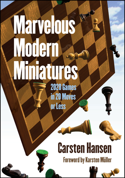# **Marvelous Modern Miniatures 2020 Games** in 20 Moves

or Less

## **Carsten Hansen**

**Foreword by Karsten Müller** 

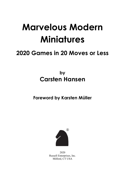# **Marvelous Modern Miniatures**

# **2020 Games in 20 Moves or Less**

## **by Carsten Hansen**

**Foreword by Karsten Müller**



2020 Russell Enterprises, Inc. Milford, CT USA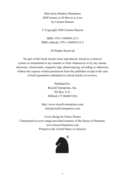Marvelous Modern Miniatures 2020 Games in 20 Moves or Less by Carsten Hansen

© Copyright 2020 Carsten Hansen

ISBN: 978-1-949859-22-5 ISBN (eBook): 978-1-949859-23-2

All Rights Reserved

No part of this book maybe used, reproduced, stored in a retrieval system or transmitted in any manner or form whatsoever or by any means, electronic, electrostatic, magnetic tape, photocopying, recording or otherwise, without the express written permission from the publisher except in the case of brief quotations embodied in critical articles or reviews.

> Published by: Russell Enterprises, Inc. PO Box 3131 Milford, CT 06460 USA

http://www.russell-enterprises.com info@russell-enterprises.com

Cover design by Fierce Ponies Chessboard in cover image provided courtesy of the House of Staunton: www.houseofstaunton.com Printed in the United States of America



2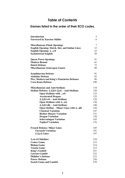## **Table of Contents**

#### **Games listed in the order of their ECO codes.**

| <b>Introduction</b>                                                                  | 5   |
|--------------------------------------------------------------------------------------|-----|
| <b>Foreword by Karsten Müller</b>                                                    | 6   |
| <b>Miscellaneous Flank Openings</b>                                                  | 7   |
| <b>English Opening: Dutch, Slav and Indian Lines</b>                                 | 15  |
| <b>English Opening: 1e5</b>                                                          | 22  |
| <b>Symmetrical English</b>                                                           | 30  |
| <b>Queen Pawn Openings</b>                                                           | 41  |
| <b>Modern Benoni</b>                                                                 | 61  |
| <b>Dutch Defense</b>                                                                 | 72  |
| <b>Miscellaneous Semi-open Games</b>                                                 | 90  |
| <b>Scandinavian Defense</b>                                                          | 91  |
| <b>Alekhine Defense</b>                                                              | 92  |
| Pirc, Modern and King's Fianchetto Defenses                                          | 96  |
| <b>Caro-Kann Defense</b>                                                             | 100 |
| <b>Miscellaneous and Anti-Sicilians</b>                                              | 110 |
| Sicilian Defense: $2.\text{\textsterling}13 \text{\textsterling}16 - Anti-Sicilians$ | 120 |
| <b>Open Sicilians with e5</b>                                                        | 123 |
| <b>Accelerated Dragon</b>                                                            | 125 |
| 2.2f3 e6 - Anti-Sicilians                                                            | 129 |
| Open Sicilians with 2e6                                                              | 130 |
| 2. $\triangle$ f3 d6 - Anti-Sicilians                                                | 140 |
| Open Sicilian - Minor Lines with 2d6                                                 | 144 |
| <b>Classical Variation</b>                                                           | 147 |
| <b>Richter Rauzer Variation</b>                                                      | 151 |
| <b>Dragon Variation</b>                                                              | 158 |
| <b>Scheveningen Variation</b>                                                        | 165 |
| <b>Najdorf Variation</b>                                                             | 176 |
| <b>French Defense: Minor Lines</b>                                                   | 185 |
| <b>Tarrasch Variation</b>                                                            | 191 |
| 3.2c3 Lines                                                                          | 197 |
| <b>1.e4 e5 Sidelines</b>                                                             | 210 |
| <b>Center Game</b>                                                                   | 212 |
| <b>Bishop Game</b>                                                                   | 214 |
| <b>Vienna Game</b>                                                                   | 215 |
| <b>King's Gambit</b>                                                                 | 221 |
| <b>Latvian Gambit</b>                                                                | 232 |
| <b>Philidor's Defense</b>                                                            | 233 |
| <b>Petrov Defense</b>                                                                | 236 |
| <b>Scotch Game and Gambit</b>                                                        | 239 |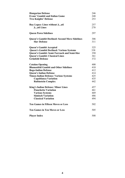| <b>Hungarian Defense</b>                              | 246 |
|-------------------------------------------------------|-----|
| <b>Evans' Gambit and Italian Game</b>                 | 248 |
| <b>Two Knights' Defense</b>                           | 253 |
| Ruy Lopez: Lines without 3a6                          | 257 |
| 3a6 Lines                                             | 270 |
| <b>Queen Pawn Sidelines</b>                           | 297 |
| <b>Queen's Gambit Declined: Second Move Sidelines</b> | 306 |
| <b>Slav Defense</b>                                   | 311 |
| <b>Queen's Gambit Accepted</b>                        | 325 |
| <b>Queen's Gambit Declined: Various Systems</b>       | 338 |
| Queen's Gambit: Semi-Tarrasch and Semi-Slav           | 350 |
| <b>Queen's Gambit: Classical Lines</b>                | 361 |
| <b>Grünfeld Defense</b>                               | 372 |
| <b>Catalan Opening</b>                                | 400 |
| <b>Blumenfeld Gambit and Other Sidelines</b>          | 410 |
| <b>Bogo-Indian Defense</b>                            | 412 |
| <b>Queen's Indian Defense</b>                         | 414 |
| <b>Nimzo-Indian Defense: Various Systems</b>          | 425 |
| Capablanca Variation                                  | 435 |
| <b>Rubinstein Complex</b>                             | 442 |
| <b>King's Indian Defense: Minor Lines</b>             | 457 |
| <b>Fianchetto Variation</b>                           | 461 |
| <b>Various Systems</b>                                | 469 |
| <b>Sämisch Variation</b>                              | 486 |
| <b>Classical Variation</b>                            | 494 |
| <b>Ten Games in Fifteen Moves or Less</b>             | 502 |
| <b>Ten Games in Ten Moves or Less</b>                 | 505 |
| <b>Player Index</b>                                   | 508 |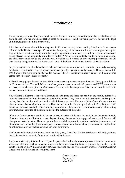## **Introduction**

Three years ago, I was sitting in a hotel room in Bremen, Germany, when the publisher reached out to me about an idea for a major game collection based on miniatures. I had been writing several books on the topic of miniatures; it seemed like a perfect fit.

I first became interested in miniatures (games in 20 moves or less) when reading Bent Larsen's newspaper columns in the Danish newspaper *Ekstrabladet*. Frequently, all he had room for was a short game or a game fragment, but it was those short games that caught my attention: how was it possible for a game between two strong players to end so quickly and often so brutally? Part of it, undoubtedly had to be home preparation, but that surely could not be the only answer. Nevertheless, I worked on my opening preparation and did occasionally win games quickly; I even used some of the ideas I had come across in Larsen's column.

Several years later, I realized that the tactical ideas in these miniatures had real instructive value. When creating this book, I have tried to cover as many openings as possible, featuring nearly every ECO code from A00 to E99. Some of the more popular ECO codes, such as B80-89 – the Scheveningen Sicilian – will feature more games than lines played less frequently.

Although every player is rated at least 2100, most are strong masters or grandmasters. Every game finishes in 20 moves or less. You will follow countless grandmasters, international masters and FIDE masters – as well as every world champion from Smyslov to Carlsen, with the exception of Fischer – as they do battle with tactical fireworks raging around them.

You will find a diagram at the critical juncture of each game and these can easily be the starting points for a "find the best move" or "find the best continuation" exercise. Many feature not only fascinating and surprising tactics, but also deadly positional strikes which leave one side without a viable defense. On occasion, we also encounter players who are so surprised by a tactical shot that they resigned when, in fact, there were still defensive resources available. This could be a lesson for all of us: look at a position objectively before letting your immediate emotion of the moment decide the outcome of the game.

Of course, for any game to end in 20 moves or less, mistakes will have to be made, but as the games broadly illustrate, these are not limited to weak players. Strong players, such as top grandmasters and future world champions, make them too. There are games from world championship matches, candidate tournaments, and other top events. When fighting chess is played, mistakes are made, but whether you are ready to exploit them or not depends on your tactical acumen and your awareness.

The largest collection of miniatures in the last fifty years, *Marvelous Modern Miniatures* will help you hone the skills needed to be ready for tactical tumults when it counts.

I hope you will enjoy this book, and if you do, please be kind to share your opinion with a short review on whichever platform, such as Amazon, where you have purchased the book or typically buy books. I invite you to join me on the Winning Quickly at Chess Facebook page as well as on my website, WinningQuicklyat Chess.com. I look forward to seeing you there.

> Carsten Hansen Bayonne, NJ May 2020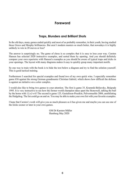### **Foreword**

#### **Traps, Blunders and Brilliant Shots**

In the old days, many games ended quickly and most of us probably remember, in their youth, having studied those Greco and Morphy brilliancies. But aren't modern masters so much better, that nowadays it is highly unlikely to win in 20 moves or less?

The answer is surprisingly no. The game of chess is so complex that it is easy to lose your way. Carsten Hansen has selected 2020 instructive examples, and sorted them by opening. And you should definitely compare your own repertoire with Hansen's examples as you should be aware of typical traps and tricks in your openings. The layout with many diagrams makes it easy to quickly grasp many important motifs.

So one way to train with the book is to hide the text below a diagram and try to find the solution yourself. This is good tactical training.

Furthermore I searched for special examples and found two of my own quick wins. I especially remember game 636 against the strong German grandmaster Christian Gabriel, which shows how difficult the defense is against an initiative on a color complex.

I would also like to bring two games to your attention. The first is game 35, Kramnik-Beliavsky, Belgrade 1995. It is very instructive to see how the former world champion takes apart the Stonewall, talking the bull by the horns with 12.e2-e4!! The second is game 125, Gustafsson-Prusikin, Pulvermuehle 2004, annihilating the Hedgehog. The list could go on and on. You may be able to make your own list with your favorite examples.

I hope that Carsten's work will give you as much pleasure as it has given me and maybe you can use one of the tricks sooner or later in your own games.

> GM Dr Karsten Müller Hamburg May 2020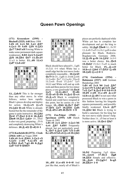#### **Queen Pawn Openings**

**(171) Krasenkow (2595) - Bischoff (2525) A40** Brno 1994 **1.d4 e6 2.c4 b6 3.a3 Bb7 4.Nc3 f5 5.d5 Nf6 6.Nf3 A.e. 7.b4?! a5!** Forcing White to make some permanent dark-square weaknesses. **8.b5** \$ e4 9.4 a4?! **食f6 10.岂b1 營e7 11.營c2?!** 11.e3 is better. **11...d6 12.e3 Nd7 13.dxe6?**



**13...** A**dc5!** This is far stronger than any other move. In what follows, notice how rapidly Black's pieces develop and deploy for action. **14.** $\triangle \times$ **c5**  $\triangle \times$ **c5 15.分d2 幽×e6** White is already busted but the the remainder of the game is quite instructive. **16.** $\triangle$ **b3 曾e4! 17.曾a2 0-0-0 18.負d2 Fine8 19. Rc1 ⁄ad3+** 19... @h4! is also very good, preparing ...f5-f4 and completely destroying White's defenses. 20. axd3 *axd3* 0-1

**(172) Kacheishvili (2572) - Cicak (2564) A40** Las Vegas 2008 **1.d4 e6 2.c4**  $\triangle$ **b4+ 3.** $\triangle$ **c3 c5 4.**\frac{3} c×d4 5.\cod4 a6 **6.Qb3 Ba5 7.g3 d6 8.Bg2** ይ**d7 9.0-0 \**b6??



Black should have played 9....  $\partial g f$ 6 10.2d1 0-0 when White has a small edge but the text move looks completely reasonable... **10.** $\&$ **e4!! \&c7?** Or 10... 2gf6 11.\&xb6 &xb6 12.2×d6+ \$e7 13.2×c8+ Eh×c8 14. 2xe6 \$xe6 15. 2xb7 2e5 16.b3 and White will end up with rook and three pawns for two minor pieces, a very good trade! **11. ga3!**<br> $\&c5$  **12.**  $\&c46+!$  **g** × **d**6  $12.\&\times$ **d6+! 13.Qxa5 Qxd4 14.Be3 Qxc4 15.**  $\& \times$  **c5** Black is completely busted and could have resigned at this point, but he carries on a bit longer. 15... 曾b5 16. 曾c7 曾d7 17.營f4 公e7 18.買fd1 公d5 **19. axd5 exd5 20. @e5+ 1-0** 

**8.c×d5 c6 9.d×c6 4 ×c6 10.4 h3 (173) Zsu.Polgar (2560) - Speelman (2595) A40** Dutch Team ch 1993 **1.d4 e6 2.c4**  $\Delta$ **b4+ 3.** $\Delta$ **c3 b6 4.e4 Bb7 5.d5?!** Frequently played, but not particularly good. **5...Qe7 6.Be2 Nf6 7.f3 exd5**



**10...d5! 11.exd5 0-0-0!** And just like that, nearly all of Black's

pieces are perfectly deployed while White yet has to complete her development and get the king to safety. **12. g5 骂he8** 12... @c5!? 13. $\&$ xf6 $\Xi$ xd5 14. $\&$ c1 gxf6 is also pleasant for Black, Rodewis-Bogdanovich, Germany 2006. **13.**  $\Delta \times$ **f6 g×f6 14.**  $\Delta$ **f4?** 14.0-0 was a better choice. **14...** 曾e5 15.曾d2? 15. c1 Exd5 is much better for Black. **15...** $\Delta x$ **c3!** 16.b×c3 \cap\b4! 17.\enter\enter\enter\enter\enter\enter\enter\enter\enter\enter\enter\enter\enter\enter\enter\enter\enter\enter\enter\enter\enter\enter\enter\enter\enter\enter\enter\enter\enter\enter\enter\enter\enter\ent **18.4d3 公×c3 0-1** 

**(174) Gustafsson (2554) - Buhmann (2527) A40** German Bundesliga 2003

**1.d4 e6 2.c4 b6 3.a3 Bb7 4.** Ac3 f5 5. Ah3 g6 6.f3 <u>Ag</u>7 **7.e3 Ne7 8.Be2 0-0 9.0-0 c5 10.d5 exd5 11.cxd5 Bxc3? 12.b×c3**  $\triangle$ **×d5** I'm not sure what possessed Black to win a pawn in this fashion leaving his kingside squares permanently, and possibly fatally weakened. **13.c4 Af7** 14. **b2 h6** Black is trying to build a sanctuary for his king but the text move really doesn't help. Neither does 14...d5 but at least it is more active. **15.曾e1 图h7** 



**16.f4!** Preparing 2g5 ideas. 16... **Qec6** 17. *Lege* 白g8 **18.宫f3!** Simple and effective. **18...** ge6 19. g5+! h×g5 **20.Rh3# 1-0**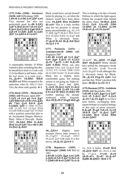**(175) Feller (2540) - Istratescu (2628) A40** Differdange 2008 **1.d4 e6 2.c4 b6 3.e4 Bb7 4.e5** Very unusual but also not particularly good. 4...d6 5. $\text{\textless}$ f3 **公d7 6.營a4 dxe5 7.dxe5 公e7 8.Be2 Bc6 9.Qc2 Ng6 10.0-0 Ndxe5 11.Rd1 Bd6 12.Nd4 Bb7 13.Nb5 0-0 14.f4??**



A catastrophic blunder. If White wanted to play something like this, he should have tried 14.5×d6 c×d6 15.f4 but Black is still better. After the text move, it is soon over... **14.... ①c5+! 15. ②h1 ③h4! 16.** $\Xi$ **f1** and White resigned at the same time. After 16... th3 17. Ad1  $\triangle$ h4, the show ends quickly. **0-1** 

**(176) Ruck (2535) - Markowski (2582) A40** Warsaw rapid 2005 1. \f3 c5 2.c4 g6 3.e4 \pm g7 **4.d4 Qb6 5.dxc5 Qxc5 6.Bd3 d6 7.h3 Nc6 8.0-0 Be6 9. Abd2 Af6** 9... @b6 10. Ee1 公f6 11.公f1 0-0 12.公e3 耳fc8 13.2d5 @d8 14.2g5 2d7 15.@d2 with a position somewhat akin to an Accelerated Dragon Maróczy Bind, Milov-C.Horvath, Bratto 2003. 10.2b3 曾b4 11.2d2 **Qa4 12.c5 Nd7 13.cxd6 exd6** 14.營e2 **A**xb2?!



Black would have served himself better by playing 14...a6 when the chances would have been about even. **15. b5!** 營a3 16. ab1! **Qxa2??** This is a truly terrible idea but his position is already pretty uncomfortable, e.g., 16...0-0 17.Bh6 Bg7?! 18.Bc1 Qb4 19.a3 營c3 20. b2 營xb3 21. axg7 and White is obviously better. **17. gc3! @xb1 18. gxb2! @a2 19.**心c1 1-0

**(177) Paciencia (2431) - Azmaiparashvili (2606) A41** Singapore 2007 1.d4 d6 2. $\text{\textdegreeled{13}}$  g6 3.c4  $\text{\textdegreeled{13}}$ 4.e4 <u>ቧg4</u> 5.<u>ቧ</u>e3 c5 6.⁄ac3 **Bxf3 7.gxf3 cxd4 8.Bxd4 公f6 9.營d2** White can also consider 9.h4 තිc6 10.இe3 ෂීa5 11. Cd 0-0 12. 曾d2 耳d8 13.b3 e6 14. b5 @xd2+ 15. axd2 when Black has a slightly more comfortable game, but nothing serious is yet going on, Pajkovic-Vojinovic, Novi Sad 2000. **9...Nc6 10.Be3 Ne5 11.Be2 曾c8 12.4d5 公×d5 13.c×d5 0-0 14.0-0? Qh3 15.Qd1? f5!** Further opening the already weakened white kingside. **16.exf5 Rxf5 17.f4 g5! 18.fxg5**



18... $\triangle$ f3+! Slightly more accurate (forces mate sooner) is<br>18... $\Xi \times g5+!$  19. $\Delta \times g5$   $\widehat{\Xi}5+!$  $18...$  $xg5+!$  $20.4 \times 13.4$  e5 with mate in a few moves. **19.**  $\×$  **f3**  $\×$  **e5** 0-1

**(178) Bagaturov (2495) - Ki.Georgiev (2660) A41** Biel izt 1993

**1.d4 d6 2.勾f3 负g4 3.e4 勾f6** 4. **Ad3 e6 5.0-0 Ae7 6. Ee1 c6** 7. bd2 d5 8.e5 \fd7 9.c3 c5

This is looking a lot like a French Defense in which the light-square bishop has escaped from behind the pawn chain. **10.** $\mathbf{a}4 \mathbf{a}4 \mathbf{h}5$ **11.c4** 第c6 **12.c**×**d5** 第b6 **13.曾b5 a6 14.曾b3 公xd5 15.dxc5**  $\triangle$ **xc5 16. e4?!** 



16.Be4!? **16...Bb4! 17.Bg5 Qd7 18.Red1??** White should have pulled the emergency break with 18.2d6+  $\&$  xd6 19.exd6 Bxf3 20.gxf3 Qxd6 although this is obviously better for Black. **18...Bxf3 19.gxf3 Nd4** And just like that, White's position falls apart. **20.**曾c4 公xf3+ 0-1

**(179) Huzman (2575) - Gofshtein (2525) A41** Beersheba 1994 **1.d4 d6 2.幻f3 鼻g4 3.c4 幻d7** 4.e4 e5 5.<u>A</u>e2 <u>A</u>e7 6. hc3 **A**xf3 7. Axf3 Ag5 As we have seen before, exchanging darksquare bishops is a typical strategy in this type of pawn structure. **8. gxg5 曾xg5 9.dxe5 @xe5 10.0-0 ④e7 11.鼻e2 ④d7** 12.4b5 *曾c5* 13.b4 *曾*b6 14.a4 \$f6??



14... fc6 is better. **15.a5! 替c6** 16. **gf3!** 窗d7 16... axc4 is met by 17.Be2. **17.e5! dxe5** 18.營×d7+ 图×d7 19.奠×b7 **Rab8 20.Rfd1+ Ke6 1-0**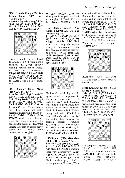**(180) Granda Zuniga (2610) - Bellon Lopez (2439) A41** Benidorm 2009

**1.g3 e5 2.Bg2 d6 3.c4 g6 4.d4 \_@g7 5.d×e5 d×e5 6.**sxd8+ *Ky***xd8 7. Qc3 c6 8.b3 \c7** 9.এb2 **公h6 10.**公f3 এg4?



Black should have played 10... $\Xi$ d8!? 11.0-0 f6 with a solid position. **11.** $\triangle \times$ **e5!**  $\triangle \times$ **e5?** Making matters much worse.  $11...$  $Re8$  was necessary. **12.Nb5+! Kb6 13.Bxe5 Re8 14.**  $Q$ **c7+ \$a6 15.**  $Q$ **c3**  $Q$ **d7?! 16.b4!** 公b6 17.h3  $\angle$  c8 18.c5 **f6 19.** $\mathbf{\&}$  **f1!** and Black resigned. **1-0**

**(181) I.Sokolov (2525) - Miles (2580) A41** Biel 1989 1.d4 d6 2. $\triangle$ f3  $\triangle$ g4 3.c4  $\triangle$ d7 **4.e4 e5 5.Be2 Be7 6.d5 Bxf3 7.Bxf3 Bg5 8.Nc3 a5 9.Bxg5 gxg5 10.0-0 മh6 11.**gb3  $\Sigma$ c5 12.��b5+ ��e7 13. $\Sigma$ a4 b6 14. $\triangle \times$ **c5?!** Now White starts to rush things while not really accomplishing anything. **14...bxc5 15.a3 営hb8 16.曾c6 曾d8 17.h4?!** Intended to give the king some "luft" before continuing the attack on the queenside. **17...** ig**d2** Placing the queen on a more active square. On 17... sxh4, White intended 18.b4. **18. 41** 



**18... ag8! 19. a4 af6!** The white queen is trapped, now Black needs to play  $\ldots \mathbb{Z}a7$  and  $\ldots \mathbb{Z}b6$  and the deal is done. **20.f4??**  $\Xi \times b2!0-1$ 

**(182) I.Sokolov (2650) - Van Kampen (2595) A41** Dutch ch (Amsterdam) 2013

**1.d4 d6 2.c4 e5 3.d5 a5 4. Qc3 Na6 5.e4 g6 6.Bd3 h5 7. ②ge2 h4 8.h3 鱼h6** Black wants to exchange dark-square bishops to claim control over the dark squares, something that will be a theme for this game. **9.f4 e**xf4 10. $\&$ xf4  $\&$ f6 11.0-0 **Nd7 12.Bc2 Nac5 13.Na4 曾e7 14.4×c5 4×c5 15.曾d4 曾e5 16.曾f2 曾e7** 



Black would have had good darksquare control to compensate for the missing pawn after 16...0-0 17.  $x + 4$   $\&g$ 7 and therefore jettisoning the h-pawn would have made a lot of sense. However, Black had overlooked White's strong continuation. **17.e5!** As a result of Black's lack of control of the central dark squares, his position rapidly crumbles. 17...d×e5 Or 17...0-0 18.2h5! and Black is lost. **18.d6! Qf6** 18... $c \times d6$  19. $\triangle d5$  is also a disaster. **19.營×c5 e×f4 20.負a4+ 1-0** 

**(183) Rapport (2720) - Danielsen (2488) A41** Reykjavik 2016 **1.d4 d6 2.Nc3 Nf6 3.Nf3 Bg4 4.e4 e6 5.h3 鱼h5 6.曾e2 c6 7.g4 Bg6 8.h4** White is grabbing space very aggressively. **8...h5** 9.g5 公fd7 10. ah3 營a5?! This is not a particularly good idea. Black intends to play  $\ldots$ \angles\$ to exchange queens. However, White

can easily sidestep this and the Black will, as we will see in the game, end up using a lot of time getting the queen back to safety. 11.d5 e5 12.<sub></sub> ad2 @a6 13. @f3 **ge7 14.4b3 曾b6 15.ge3 Qc7 16.0-0-0 a6 17.dxc6 bxc6 18. of 5 公b6 Black should have** tried something along the lines of 18...Bxf5 19.exf5 d5 20.g6 fxg6 21.f×g6 \$f6 22.\$a4 although White has a comfortable plus. **19.營h3 公8d7** 



**20. axb6!** After 20... 2xb6 21. $\&$ ×g6 f×g6 22. $\&$ e6, Black is busted. **1-0**

**(184) Korchnoi (2633) - Solak (2501) A42** Basel 2002 **1.d4 g6 2.c4**  $\&$  **g7 3.** $\&$ **c3 d6 4.e4 e5 5.Nf3 Nc6 6.Bg5 f6 7.Be3 Nh6 8.dxe5 Nxe5 9. e2 公hg4 10. ed4 c5?!** It

would have been safer and better to play  $10...0-0$   $11.0-0$   $\Xi$ e8 when Black is more or less fine. **11.**  $\& \times$ **e5 f** $\times$ **e5 12. 曾d3 公f6** 13.0-0-0 曾e7 14. 曾e3 曾a5?



My computer suggests  $14...\text{\textdegreeled{2}}q4$ 15.@g5+ Af6 16.2d5+ @f7 17. d2 as a safer alternative. 15. Exd6!! 幻g4 Or 15... axd6 16.曾d2+ 雷e6 (16... 雷e7 17.2d5+) 17.2g5+ \$e7 18.2d5+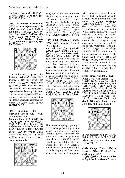and Black's queen falls. **16.Qg5+ Kxd6 17.Qd2+ Ke6 18.Ng5+ Kf6 19.Nd5# 1-0**

**(185) Hernandez Carmenates (2573) - Almeida Quintana (2524) A42** Cuban ch (Ciego de Avila) 2010 **1.d4 g6 2.** St3  $\triangle$  g7 3. e4 d6 **4.c4 Bg4 5.Nc3 Bxf3 6.gxf3**  $\&$ c6 7. $\&$ e3 e5 8.d5  $\&$ d4 **9.Nb5 c5 10.dxc6 bxc6 11.公×d4 e×d4 12.⊥×d4 替a5+** 13. ge2 公f6



Can White win a pawn with 14. **A**xf6? **14. Axf6?!** 14. Ac3 曾c7 15.Qd2 is perfectly playable for White. 14...  $x + 6$  15.  $x \times 16$ ? **Ed8 16.**gxc6+ White has won two pawns but his king is completely exposed and without any defenders. I'm not sure what possessed White, a strong grandmaster, to enter this line that is obviously hazardous for White. **16...**\frac{B 17.f4  $\& \& \times b2$ **18. html** 曾c3 0-1

**(186) Speelman (2594) - Norwood (2455) A42** 4NCL (Birmingham) 2001

1.d4 g6 2.c4  $\&$ g7 3. $\&$ f3 d6 **4.Nc3 Nd7 5.e4 e5 6.Be2 Ne7 7.0-0 0-0 8.Be3 h6 9.Qc2!? f5 10.dxe5 f4 11.exd6** f×e3 12.d×e7 e×f2+ 13. xf2 **曾×e7 14.公d5 曾d8?** Black should have opted for  $14...$  od6 15. af1 when White is clearly better. **15.e5! c6?**



**16.**&**xg6!** At the cost of a piece, Black's king gets evicted from his safe haven. **16...cxd5?** It would have been relatively best to play 16...2×e5 17.2×e5 且×f2 18. \$xf2 cxd5 but even so, White wins after 19. f7+ \$h8 20. 20 = \$h7 21.Nf4 Kh8 22.Rd1. **17.Bd3! 置f4 18.營h7+ 零f8 19.公d4! 1-0** 

**(187) Solak (2568) - L.Vajda (2564) A42** Romanian Team ch (Predeal) 2007

**1.e4 g6 2.d4 Bg7 3.c4 d6 4.Nc3 Nd7 5.Nf3 e5 6.g3 Ne7 7.Bg2 0-0 8.0-0 exd4**  $9.4 \times d4$   $\overline{4}$ e5 10.b3  $4$ 7c6 **11.** $\triangle$  × **c6**  $\triangle$  × **c6** I don't like this move even though it is perfectly reasonable. However, it is too passive; Black will find it difficult to generate counterplay. The more dynamic move is 11...bxc6, for instance, 12. gb2 骂b8 13. gc2 c5 14.2e2 Ee8 15.f4 2c6 16.2xg7  $\frac{1}{2} \times 97$  17.  $\frac{1}{2} b2 + 16$  18.e5  $\frac{1}{2} b7$ 19.exf6+ @xf6 20.@xf6+ @xf6 with chances for both sides in the endgame, Jobava-Belkhodja, Dubai 2002. **12. Åb2** Åe6 13.營d2 @d4 14.買ae1 <u>A</u>h3?



This looks tempting, getting a piece exchange by using a little tactics:  $15.\& \times h3$ ??  $\& 53+$ , winning White's queen. However, the move also has its problems. Instead 14...c6 15.f4 罩e8 16. f2 would only be a little better for White. **15.** $\oint$ **d5!** Now Black is immediately in trouble. The knight on d4 is hanging and Black must address this, but the dark squares

will become the next problem and this is Black had failed to take into account when playing his 14th move. **15...**  $\×$ **22 16.** $\×$ **22 4) e6 17.f4** 17.  $\frac{8}{5}$ xg7  $\frac{2}{5}$ xg7 18.e5 dxe5 19. ke5 c6 20. e7+ \\\ eh8  $21.$ \\\eldoth{bmf{bmf{c}}} \testing 0.1.\eldoth{bmf{c}}} \testing 0.1.\eldoth{bmf{c}}} \testing 0.1.\eldoth{bmf{c}}} White, but the text move creates a massive advantage in space.  $17...$  $Q$ **c5??** Black plays as if unaware that bad things are going on at the board. He had to pull the emergency brake with 17...c6, e.g., 18. xg7 2xg7 (or 18... \$xg7 19.2e3) 19.2e3 2e8 with a terribly passive position for Black, but at least he is alive.  $18.2 \times 97$ **Kxg7 19.Qc3+ f6 20.e5** And White crashes through in the center on the long diagonal aiming at Black's king. In fact, this is completely decisive. **1-0**

**(188) Illescas Cordoba (2625) - Piket (2590) A42** Biel izt 1993 **1.Nf3 d6 2.d4 g6 3.c4 Bg7 4.e4 e5 5.**@c3 e×d4 6.@×d4 **Nc6 7.Be3 Nge7 8.h4 f5** 9.e×f5 **②×f5** 10.②×f5 <u>③</u>×f5 **11. ge2 曾d7 12.曾d2 0-0-0 13.0-0**  $\ddot{\text{g}}$ **de8 14. ac1**  $\ddot{\text{g}}$ **g4 15.** $\oint d5$ **?!** 15. $\oint d1$  was best. 15...  $\Delta \times 2$  16.  $\frac{M}{2} \times 2$  只e4! 17.c5 **d×c5 18. xc5**  $\triangleleft$  **d4** Taking advantage of the pin. **19.**Md3??



It was necessary to play  $19.$   $C2$ **Exh4 20. xd4 Exd4 21. @c3 Ed8** when Black has an extra pawn. **19...** $\Xi \times$ e3! 0-1

**(189) Vallejo Pons (2676) - Lostuzzi (2406) A43** Italian Team ch (Palermo) 2007 **1.Nf3 Nf6 2.d4 c5 3.d5 b5 4. a.g5 d6 5.e4 \$**  $\times$  **e4 5...a6 is**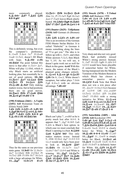more commonly played. **6.**  $\Delta \times b$ **5+**  $\Delta$ **d7 7.**  $\Delta$ **d3**  $\Delta$ **f6 8.0-0 g6?**



This is definitely wrong, but even<br>the computer's preference. the computer's 8... $\triangle \times d$ 5 9.  $\triangle \angle e4$   $\triangle c7$  10.  $\triangle \times a8$  $\triangle$ ×a8 11. Le1, doesn't fill Black with hope. **9.** $\×$ **f6!** ex**f6 10.***y*d2! The point behind this move is that after  $11.\Xi e1 + \angle e7$ , White will play 12.\httpsh6, which is why Black starts an artificial looking plan, but essentially he is out of good options. **10...h6** 11.Ee1+ **Qe7 12.**Qa3 \f8<br>13.Ee3 f5 14.Qc4 **Qf6**  $13.\overline{R}$ e3 f5 **15.** $\triangle \times$ **d6**  $\triangle \times$ **b2?** Only making matters worse, but in bad positions there are no good moves. 16. ae1 窗f6 17. **Qe8** 窗b6 **18.Bc4! g5 19.d6! 1-0**

**(190) Fridman (2661) - A.Vajda (2451) A43** Romanian Team ch (Eforie Nord) 2009 **1.d4 公f6 2.公f3 c5 3.d5 b5 4.Bg5 d6 5.e4 Nxe4 6.Bxb5+ Bd7 7.Bd3 Nf6 8.0-0 g6 9.Bxf6 exf6 10.Qd2 h6**



Thus far the same as our previous main game. **11.b4!?** Or 11. e3+ এe7 12.2bd2 \$f8 13.kfe1 f5 14. Le2 真f6 15. 曾f4 曾c7 16. 公c4 with a large advantage for White.<br>11... $\mathbf{\hat{Q}g7}$  12.b×c5 d×c5 **11...** $\mathbf{\mathfrak{g}}$ g7

13. Ee1+ \$f8 14. se3 se8 Also 14...f5 15.2e5 \$g8 16.2a3  $2a4$  17. $\Xi$ ad1 leaves Black utterly busted. **15.** bd2 \gg8 16. Aab1 **\\$h7 17.\rg\$\&&&&&&&&&&{\\$P\$\\$** 

**(191) Dautov (2625) - Telljohann (2410) A43** German ch (Bremen) 1998

**1.d4 分f6 2.分f3 c5 3.d5 c4?** This is an invention of the German FIDE-Master Stefan Bücker. It is called "Habichd." in German it means something along the lines of "I've got you." The idea is to follow up with  $4...$   $25+$ , and when White answers  $5.\&c3$ , then Black has 5...b5. As we will see, it doesn't quite work out so well for Black in this game. **4.e4!** With this move, the nature of the Black's planned game changes entirely.  $4...6 \times 64$  5.  $4 \times 64$  g6 6.  $6 \times 3!$ ? **Af6** On 6... 2×c3, White doesn't recapture, but rather plays 7. d4  $Zg8 \ 8.$   $\&xc3$  with an obvious advantage. **7.d6 e6?**



Black can't play 7...exd6?? as he is pretty much lost after 8.0-0. It appears that 7... <u>@g</u>7 8.<sup>6</sup>b5 \$a6 9.Bf4 is Black's best option, in which case we must conclude that Black's opening is a bust. **8.** $\triangle$ **b5! Na6 9.Bf4! b6?** This only makes matters worse. Instead 9... @b6 10. @e2 Ag7 11.0-0 0-0 12.c3 would only have been poor to look at. **10. ge5! gb7 11.曾d4** Or 11.①c7+ ②xc7  $12.\text{d} \times \text{c}$  \gerallective 13.0-0 and White is winning. **11...**  $\mathbf{\hat{Q}}$ **g**7 **12.**  $\mathbf{\hat{Q}}$ **c**7+ **幻×c7 13.d×c7 營e7 14.負d6 公h5 15.曾d3 曾f6 16. a6! 營×b2 17.奠×b7! 1-0** 

**(192) Stocek (2470) - T.Tolnai (2560) A43** Budapest 1998 **1.d4 e6 2.c4 c5 3.d5 exd5 4.cxd5 d6 5.Nc3 g6 6.e4 Bg7 7.Bd3 a6 8.a4 Qe7 9.h3 f5?!**



Very sharp and also not very good. Black had probably missed White's strong answer. Instead, 9...Nd7 10.Nf3 Ngf6 11.Bf4 0-0 12.0-0 would have been playable if somewhat better for White, having transposed into the Modern Variation of the Modern Benoni in which Black has chosen somewhat passive set-up. 10. $\oint$ **f3!** f×e4 Note that Black does not win a win piece after  $10...\&xc3+11.bxc3$  fxe4 because of 12.0-0! 幻f6 (12...exd3?? 13.<sup>E</sup>e1) 13.Ee1 **Af5** 14.Ah6 **△bd7** 15.營b3 with a strong initiative for White. **11.** $\oint \times e^4$ **公f6 12.0-0 公×e4 13. e1 0-0 14. xe4** 14. xe4!? **14... 曾f7 15.鱼g5** 15.曾e1! **15...鱼×b2?? 16. [c7 曾×d5 17.曾c2! 1-0** 

**(193) Sutorikhin (2405) - Afek (2510) A44** Kecskemet 1991 **1.d4 g6 2.e4**  $\triangle$  **g7 3.** $\triangle$  **c3 c5 4.d5 d6 5.Nf3 e5 6.dxe6 Bxe6 7.Bf4 Qa5 8.Bb5+ Nc6 9.0-0** 9. $\&xc6+bxc6$  10.0-0 is clearly better for White. **9...** $\triangle$ **ge**7 **10.Bxd6 0-0-0 11.e5?** 11.a4!? **11... @g4?** 11... 2xe5! is simply better for Black. 12. e2 a6 **13. Ac4** 13. Axc6! Axc6 14. 曾c4  $\Delta x$ f3 15.\rightaref{7! is definitely better for White. **13...** $\oint$ **f5** 14. $\oint$ **xf7**  $\triangle \times$ d6 15.e×d6  $\triangle$ d4 16. $\triangle$ e4  $\Delta x$ **f3 17.g×f3**  $\Xi$ **hf8 18.** $\Delta d$ **5!? Kb8??**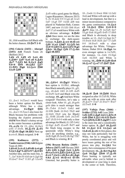

 $18...$   $\&$  b6 would have left Black with the better chances. **19.**曾e7! 1-0

**(194) Colovic (2433) - Abergel (2451) A44** French Team ch (Belfort) 2012

**1.d4 c5 2.d5 e5 3.e4 d6 4.Bb5+ Nd7 5.a4 a6 6.Bd3 Be7 7.Nf3 h6 8.Nc3 Bg5 9.0-0 營f6 10.公d2 公e7** 11.曾f3 曾g6 12.4c4 宫b8 **13.a5 幻f8** 



13... Axc1 14. Axc1 would have been a better option for Black, although White has a clear<br>advantage. **14.** advantage. advantage. **14. g3!** 窗f6 14... $\& x c1$  15. $\& ax c1$  also loses for Black because his problems with keeping the d-pawn protected. **15.f4!** Now Black's clumsy set-up in the center becomes a problem. 15...e×f4 Or 15... th4 16. @e3 exf4 17. oxf4. **16. oxf4 @xf4 17. xf4 曾g6 18. gf2** Next up is e4-e5. Black resigned. **1-0**

**(195) Kadimova (2372) - Vanderwaeren (2346) A44** Belgian Team ch 2001

**1.d4 e6 2.c4 c5 3.d5 d6 4.e4 g6 5.Nc3 Bg7 6.Bf4 e5 7.Be3 h5** Another idea, and the main line, is 7...@e7 8.h4 f5 9.h5 (or 9.@g5 h6 10. ez \ \ \ \ \ \ \ \ \ \ \ \ \ \ c7 11.h5 g5 12.exf5 **A**xf5 with a good game for Black, Lagno-Riazantsev, Moscow 2015) 9...f4 10. $\&$ d2 0-0 11.g4 a6 12.a3 **公d7 13.g5 骂f7 14.h6 鼻f8 was** played in Nadanian-Haik, Cannes 1997, and now 15. hf3 2b6 16.a4 Bd7 17.a5 would leave White with an obvious advantage. **8.**\d2 **Ah6** Once more, we see the idea to exchange the dark-square bishops. 9. **gd3** gxe3 10. gxe3  $\&$ f6 11.a3  $\&$ bd7 12. $\&$ f3 h4 **13.0-0 Nh5 14.Be2 Nf4 15.g3**  $\triangle$ h3+ 16.\$g2  $\triangle$ f6 17. $\triangle \times$ h4  $\Delta$ g4 18.Uf3



**18...心f4+! 19. \$g1?** White's best option is 19.\\timeshimarkh1, although then Black naturally plays 19...g5!, e.g., 20. dd1 2h5 21. 2f5 Axf5 22. xf5 \e3! and Black wins the exchange. **19...g5** And here White resigned! Therefore, let's take a closer look. After 19...g5, 20.gxf4 gxf4 (this is much stronger than 20... $\Sigma \times h4$  21.f $\times e5$  2 $\times h2$  and 22. f6 [both 22. 管e3 国h3! and 22. d3 Eh3! win for Black] 22...營×f6 23.e×f6 公×f1 24. $\mathbb{Z}$ ×f1  $\triangle$ d7 25.f3 0-0-0 with only a clear advantage for Black) 21. hf5  $\triangle xh2$ 22. g2  $\&x5$  23. exf5 \frac{3d7!} and the black king escapes to the queenside while White's king can't do anything similar, e.g., 24.f6 @g8! 25.De4 f3 26.@g7 Eh7 and Black is winning. **0-1**

**(196) Bruzon Batista (2669) - Jobava (2637) A45** Havana 2005 1.d4 \f6 2. \cappy 2. \cappy 1.d4 \text{ 1.\cappy 1.\cappy 1.\cappy 1.\cappy 1.\cappy 1.\cappy 1.\cappy 1.\cappy 1.\cappy 1.\cappy 1.\cappy 1.\cappy 1.\cappy 1.\cappy 1.\cappy 1.\cappy 1.\cappy 1.\cappy 1.\cappy 1.\cappy 1 **d5 4.e3 c5 5. Ad3 2 c6 6. A x e4 dxe4 7. ①e2 cxd4 8.exd4 <u>Ag</u>4** 9.h3  $\& \times$ e2 10. g×e2 曾×d4 Untested, but possibly better is

10... Axd4 11. @xe4 @b6 12. Ad2 Qe6 and White will end up with a lead in development, but that is a minor inconvenience compared to the game continuation.  $11.\text{\textdegree$\triangleq$}$ **e5** 12. **ge3** 曾b4 13.0-0-0 **Qe7?** Also 13...f5 14. Ed5 曾e7 15.g4 මීe6 16.g×f5 මී×f5 17.මීb5 and Black is obviously in deep trouble, or 13... a5 14. g4 曾c7 15. Yxe4 Yc8 16.f4 Qe7 17. 2d5 0-0 18. $\forall x \in 5$  with a clear advantage for White, Vitiugov-Salem, Dubai 2014. **14.Qg4** An even stronger option is  $14.\overline{2}d5!$ , for instance,  $14...\text{\textdegreeled{d}}4$   $15.\textdegreeled{g}4$  $\triangle$ e6 16. $\triangle$ b5 and White is winning. **14...** \$f8 15. ad5 \$a5 16.4×e7 4×e7 17.曾d7 **Ec8** 



**18. oc5! 買e8 19. 買d5! Black** resigned as after 19. $\Xi$ d5 f6, White ends up with an extra rook after 20. xe7+  $\Xi$ xe7 21. @xe7+ @xe7 22.Rxa5. **1-0**

**(197) Vallejo Pons (2666) - Svidler (2733) A45** Leon 2004 1.d4 \f6 2.\g5 \fe4 3.\gf4 c5 **4.d5 Qb6 5.Bc1 e6 6.f3 Qa5+ 7.c3 Nf6 8.e4 d6 9.Bg5?!** 9.Bd2 is the main line and a considerably better option. **9...**  $\underline{\mathbb{Q}}$ **e7** 10.  $\underline{\mathbb{Q}}$ **c4?! b5** 11. <u>A</u>e2 0-0 12.  $\sqrt{2}$ a3 a6 **13.d×e6**  $\triangle$ **×e6** At first glance, this may not look particularly bad for White, but he is struggling with poorly coordinated piece and will have issues getting the rest of his pieces into play. **14.** $\oint h3$  Not pretty, but a consequence of his poor development. **14...Bxh3 15.gxh3 公c6 16. g1 買fe8 17.**  $\&arrow$  **xf6** Pawn hunting is typically not advisable when you're behind in development or your king is stuck in the center or both. Therefore,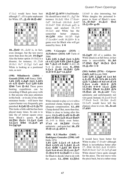$17.\&c2$  would have been best although 17...d5! is quite unpleasant for White. **17...**  $\Delta \times$ **f6 18.**  $\mathcal{C} \times \mathcal{A}$ 6?



**18...**  $\Xi$ **e6!** 18... $\Delta d4!$  is, in fact, even stronger, but the text move more than does the job. **19.Qg3?** Also the better option 19. $\&$ d2 is a disaster, for instance, 19... $\Xi$ d8 20. fc1 皆c7 21. 且g2 它e5 and White is looking at a positional ruin, as next

**(198) Miladinovic (2604) - Gozzoli (2510) A45** Nancy 2008 1.d4  $\angle$ f6 2. $\angle$ g5  $\angle$ e4 3. $\angle$ f4 **c5 4.f3 @a5+ 5.c3 @f6 6.d5 Qb6 7.e4 Qxb2** These pawn hunting expeditions can be rewarding if Black gets away with it. But anyone who pays attention in this book – or in any of my other miniature books – will know that a pawn hunter very frequently gets punished. **8.**2d2 營×c3 9. . c7!? This looks a little odd but has been played many times. Its aim is to take the a5 retreat square away from Black's queen. **9...d6 10. b1 曾e3+ 11. 公e2 公a6 12.**①c4 *N*b6 13.①a5 g5 14.2g3 g4



**15. Exb7**  $\Delta x$ **b7??** A bad blunder. He should have tried 15.... g7 for instance 16. d2 營h4 17. 營a4+ 包d7 18.營×a6 (18.營c6 鼻×b7 19. xb7 回b8 20. xa6 gxf3 is messy and unclear) 18...0-0 19. $\triangle$ e3 and White has the somewhat better chances. **16.幻f5!** After 16.幻f5 營g6 17. loxd6+! exd6 18. \$b5+ It is game over for Black who will get mated by force. **1-0**

**(199) V.Georgiev (2535) - Al.Fedorov (2614) A45** Turin ol 2006

**1.d4 Nf6 2.Bg5 Ne4 3.Bf4 c5 4.f3 Nf6 5.d5 Nh5 6.Bg5 h6 7. e3 e5 8.d6?** 8. **f**2 d6 9.c4 is about even. **8...**\b**6** 9.��c3 <u>Å</u>×d6 10.៉&d2 ��f6 11.0-0-0 <u>Q</u>e7 12. Qf2?



White intends to play e2-e4 with a positional clamp, hoping to claim adequate compensation. **12...d5!** Clamp denied! But, more than that, White is close to losing after this move. **13.**@×**d5** &**xd5** 14.@×**d5 Ae6 15.曾e4 公c6 16.a3 曾a6?!** 16...0-0! is likely even better. **17.e3 c4 18.** $\Xi$ **d5?** Overly optimistic – and quite bad. **18...f5! 19.**&xc4  $\& \times$ d5 0-1

**(200) K.U.Mueller (2465) - Rodriguez Gonzales (2390) A45** Halle 1974 **1.d4 公f6 2.公c3 c5 3.dxc5 Qa5 4.Nf3 e6 5.Bd2 Bxc5 6.e3 營d8 7.鼻d3 d5 8.0-0**  $\&$ c6 9.e4 d×e4 10. $\&$ ×e4  $\&$ e7 **11. e2 0-0 12. Ead1** It is time for Black to decide what to do with the queen. **12...** *N***b6** 13. 月fe1

13.b4!? is also interesting, but White dangles the poisoned bpawn in front of Black's nose.<br>13...  $\mathcal{L}$  xb2? 14. $\mathcal{L}$ c3  $\mathcal{L}$  a3 **13...**幽×b2? **15.Nxf6+ gxf6**



**16.** $\sum_{i=1}^{n}$ **g5!** All of a sudden, the White attack is at full force, in fact mate is unavoidable. **16...h6** 17. 曾h5 曾g7 18. 岂e3 曾c5 **19.Bxf6+ 1-0**

**(201) Sedlak (2576) - Grigorov (2465) A45** Kavala 2008 **1.d4 Nf6 2.Bg5 e6 3.e3 h6 4.Bxf6 Qxf6 5.f4 d6 6.Nf3 Nc6 7.Nbd2 e5 8.fxe5 dxe5 9.Bc4 exd4 10.0-0 Bf5 11.e×d4 0-0-0 12.c3**  $\triangle$ **d6 13.Kh1 Rhe8 14.Bb5 Bf4 15.曾a4 a6 16.** $\Delta \times$ **a6?** Very optimistic and unfortunately not very good. Instead, 16. $\&\times$ c6  $\&\times$ c6  $17.$  $\%$ xc6 bxc6  $18.2$ h4  $\&$ xd2 19. $\&$  xf5 would have left the chances close to even. **16...bxa6 17.d5?!**



It would have been better for White to play  $17.$   $\&$  × a $6+$  although Black is nevertheless better after 17... Bb8 18. 2b3 2c8 19. gb5+ \$ිa8 20.මීa4+ ඩිa7 21.ඩිe5 g5 and White doesn't have quite enough for the piece. The text move wins the piece back, but at a rather steep